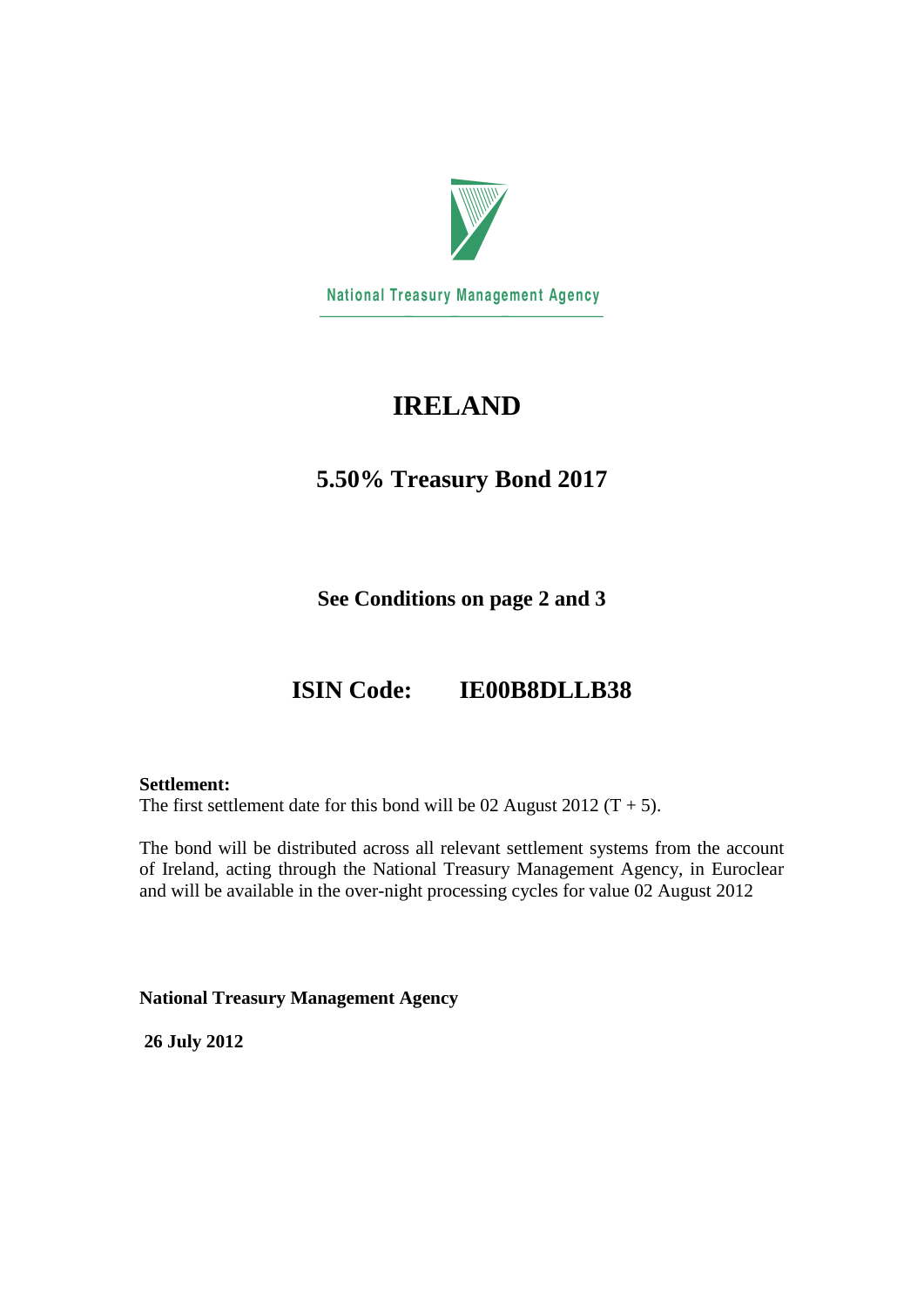

**National Treasury Management Agency** 

# **IRELAND**

## **5.50% Treasury Bond 2017**

**See Conditions on page 2 and 3**

# **ISIN Code: IE00B8DLLB38**

### **Settlement:**

The first settlement date for this bond will be 02 August 2012 ( $T + 5$ ).

The bond will be distributed across all relevant settlement systems from the account of Ireland, acting through the National Treasury Management Agency, in Euroclear and will be available in the over-night processing cycles for value 02 August 2012

**National Treasury Management Agency**

**26 July 2012**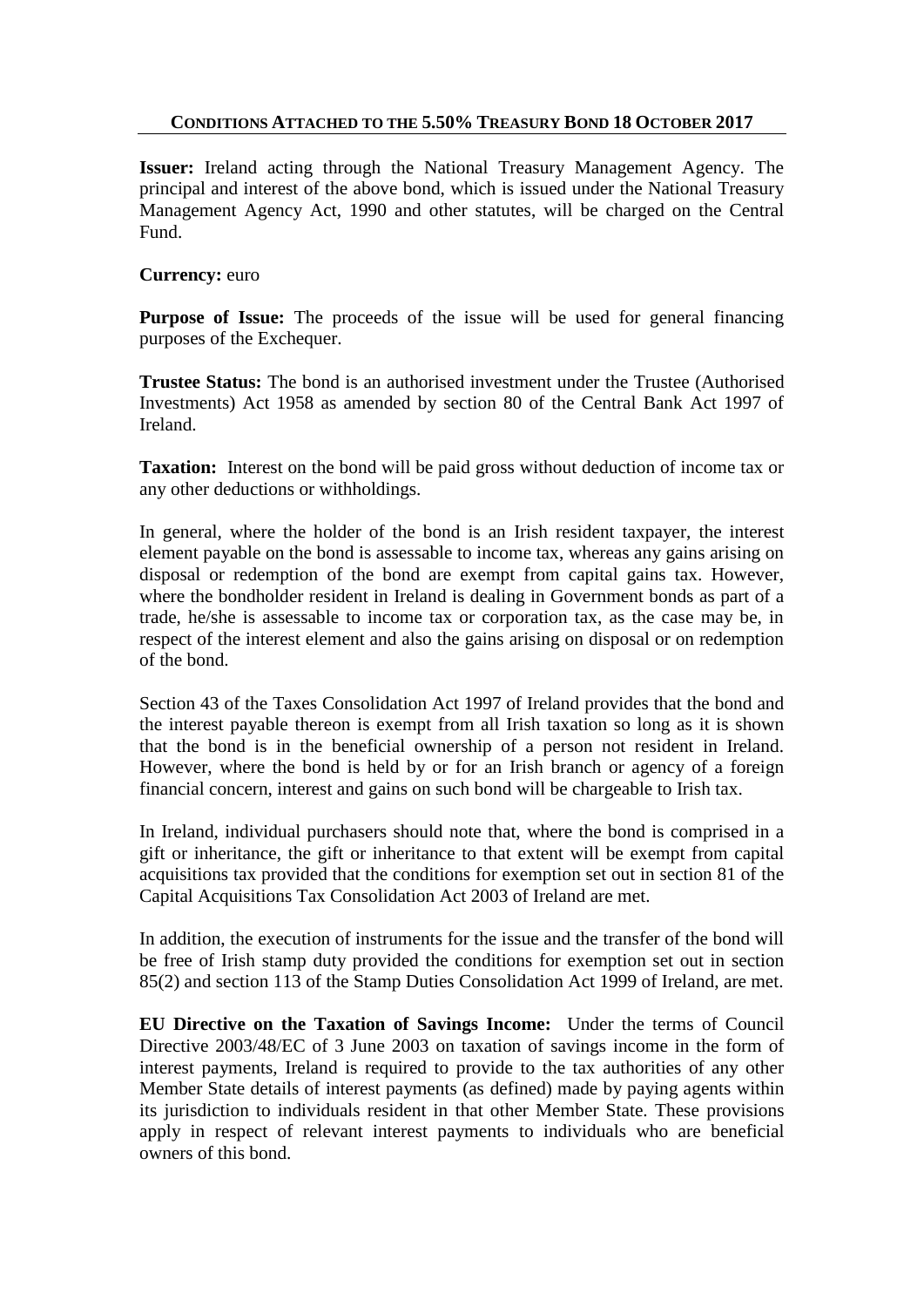### **CONDITIONS ATTACHED TO THE 5.50% TREASURY BOND 18 OCTOBER 2017**

**Issuer:** Ireland acting through the National Treasury Management Agency. The principal and interest of the above bond, which is issued under the National Treasury Management Agency Act, 1990 and other statutes, will be charged on the Central Fund.

### **Currency:** euro

**Purpose of Issue:** The proceeds of the issue will be used for general financing purposes of the Exchequer.

**Trustee Status:** The bond is an authorised investment under the Trustee (Authorised Investments) Act 1958 as amended by section 80 of the Central Bank Act 1997 of Ireland.

**Taxation:** Interest on the bond will be paid gross without deduction of income tax or any other deductions or withholdings.

In general, where the holder of the bond is an Irish resident taxpayer, the interest element payable on the bond is assessable to income tax, whereas any gains arising on disposal or redemption of the bond are exempt from capital gains tax. However, where the bondholder resident in Ireland is dealing in Government bonds as part of a trade, he/she is assessable to income tax or corporation tax, as the case may be, in respect of the interest element and also the gains arising on disposal or on redemption of the bond.

Section 43 of the Taxes Consolidation Act 1997 of Ireland provides that the bond and the interest payable thereon is exempt from all Irish taxation so long as it is shown that the bond is in the beneficial ownership of a person not resident in Ireland. However, where the bond is held by or for an Irish branch or agency of a foreign financial concern, interest and gains on such bond will be chargeable to Irish tax.

In Ireland, individual purchasers should note that, where the bond is comprised in a gift or inheritance, the gift or inheritance to that extent will be exempt from capital acquisitions tax provided that the conditions for exemption set out in section 81 of the Capital Acquisitions Tax Consolidation Act 2003 of Ireland are met.

In addition, the execution of instruments for the issue and the transfer of the bond will be free of Irish stamp duty provided the conditions for exemption set out in section 85(2) and section 113 of the Stamp Duties Consolidation Act 1999 of Ireland, are met.

**EU Directive on the Taxation of Savings Income:** Under the terms of Council Directive 2003/48/EC of 3 June 2003 on taxation of savings income in the form of interest payments, Ireland is required to provide to the tax authorities of any other Member State details of interest payments (as defined) made by paying agents within its jurisdiction to individuals resident in that other Member State. These provisions apply in respect of relevant interest payments to individuals who are beneficial owners of this bond.